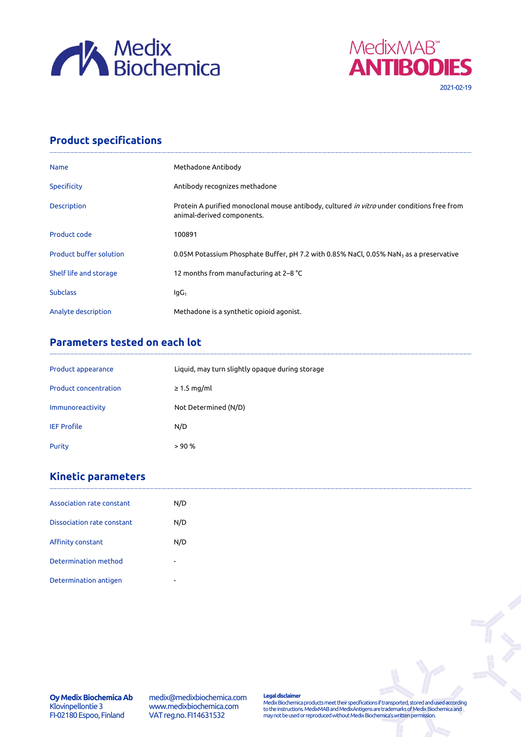



## **Product specifications**

| <b>Name</b>                    | Methadone Antibody                                                                                                              |
|--------------------------------|---------------------------------------------------------------------------------------------------------------------------------|
| <b>Specificity</b>             | Antibody recognizes methadone                                                                                                   |
| <b>Description</b>             | Protein A purified monoclonal mouse antibody, cultured <i>in vitro</i> under conditions free from<br>animal-derived components. |
| Product code                   | 100891                                                                                                                          |
| <b>Product buffer solution</b> | 0.05M Potassium Phosphate Buffer, pH 7.2 with 0.85% NaCl, 0.05% NaN <sub>3</sub> as a preservative                              |
| Shelf life and storage         | 12 months from manufacturing at 2-8 °C                                                                                          |
| <b>Subclass</b>                | lgG <sub>1</sub>                                                                                                                |
| Analyte description            | Methadone is a synthetic opioid agonist.                                                                                        |

## **Parameters tested on each lot**

| Product appearance           | Liquid, may turn slightly opaque during storage |
|------------------------------|-------------------------------------------------|
| <b>Product concentration</b> | $\geq$ 1.5 mg/ml                                |
| Immunoreactivity             | Not Determined (N/D)                            |
| <b>IEF Profile</b>           | N/D                                             |
| Purity                       | > 90%                                           |

## **Kinetic parameters**

| Association rate constant  | N/D                      |
|----------------------------|--------------------------|
| Dissociation rate constant | N/D                      |
| Affinity constant          | N/D                      |
| Determination method       | $\overline{\phantom{a}}$ |
| Determination antigen      | $\overline{\phantom{a}}$ |

medix@medixbiochemica.com www.medixbiochemica.com VAT reg.no. FI14631532

**Legal disclaimer** Medix Biochemica products meet their specifications if transported, stored and used according to the instructions. MedixMAB and MedixAntigens are trademarks of Medix Biochemica and may not be used or reproduced without Medix Biochemica's written permission.